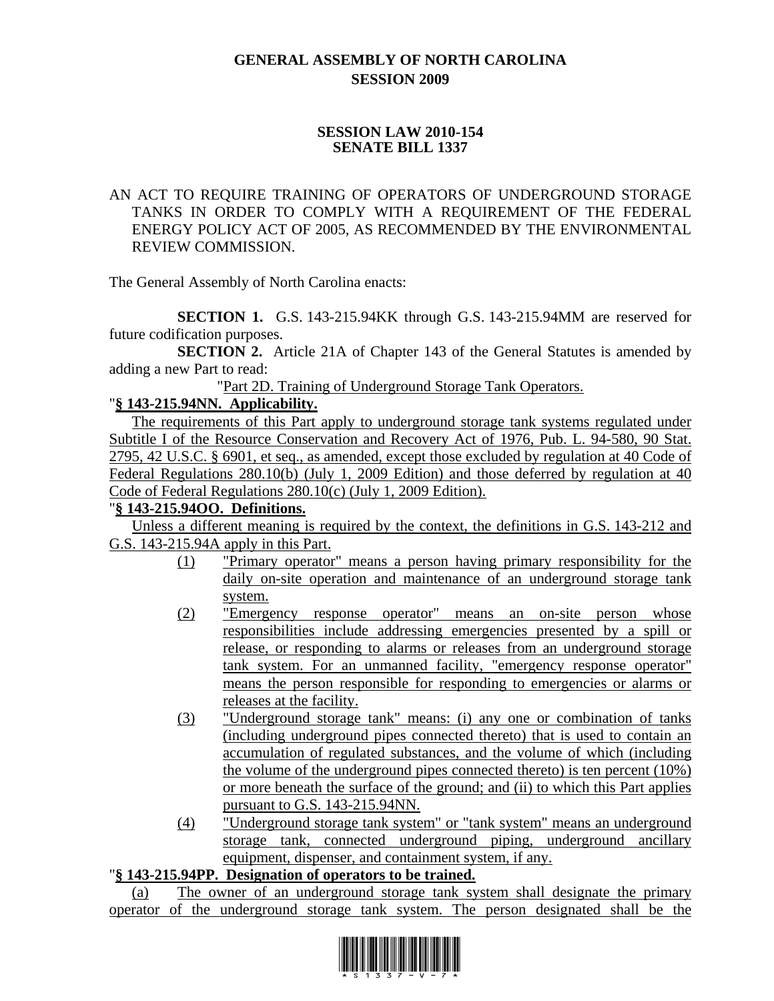# **GENERAL ASSEMBLY OF NORTH CAROLINA SESSION 2009**

#### **SESSION LAW 2010-154 SENATE BILL 1337**

### AN ACT TO REQUIRE TRAINING OF OPERATORS OF UNDERGROUND STORAGE TANKS IN ORDER TO COMPLY WITH A REQUIREMENT OF THE FEDERAL ENERGY POLICY ACT OF 2005, AS RECOMMENDED BY THE ENVIRONMENTAL REVIEW COMMISSION.

The General Assembly of North Carolina enacts:

**SECTION 1.** G.S. 143-215.94KK through G.S. 143-215.94MM are reserved for future codification purposes.

**SECTION 2.** Article 21A of Chapter 143 of the General Statutes is amended by adding a new Part to read:

"Part 2D. Training of Underground Storage Tank Operators.

### "**§ 143-215.94NN. Applicability.**

The requirements of this Part apply to underground storage tank systems regulated under Subtitle I of the Resource Conservation and Recovery Act of 1976, Pub. L. 94-580, 90 Stat. 2795, 42 U.S.C. § 6901, et seq., as amended, except those excluded by regulation at 40 Code of Federal Regulations 280.10(b) (July 1, 2009 Edition) and those deferred by regulation at 40 Code of Federal Regulations 280.10(c) (July 1, 2009 Edition).

### "**§ 143-215.94OO. Definitions.**

Unless a different meaning is required by the context, the definitions in G.S. 143-212 and G.S. 143-215.94A apply in this Part.

- (1) "Primary operator" means a person having primary responsibility for the daily on-site operation and maintenance of an underground storage tank system.
- (2) "Emergency response operator" means an on-site person whose responsibilities include addressing emergencies presented by a spill or release, or responding to alarms or releases from an underground storage tank system. For an unmanned facility, "emergency response operator" means the person responsible for responding to emergencies or alarms or releases at the facility.
- (3) "Underground storage tank" means: (i) any one or combination of tanks (including underground pipes connected thereto) that is used to contain an accumulation of regulated substances, and the volume of which (including the volume of the underground pipes connected thereto) is ten percent (10%) or more beneath the surface of the ground; and (ii) to which this Part applies pursuant to G.S. 143-215.94NN.
- (4) "Underground storage tank system" or "tank system" means an underground storage tank, connected underground piping, underground ancillary equipment, dispenser, and containment system, if any.

#### "**§ 143-215.94PP. Designation of operators to be trained.**

(a) The owner of an underground storage tank system shall designate the primary operator of the underground storage tank system. The person designated shall be the

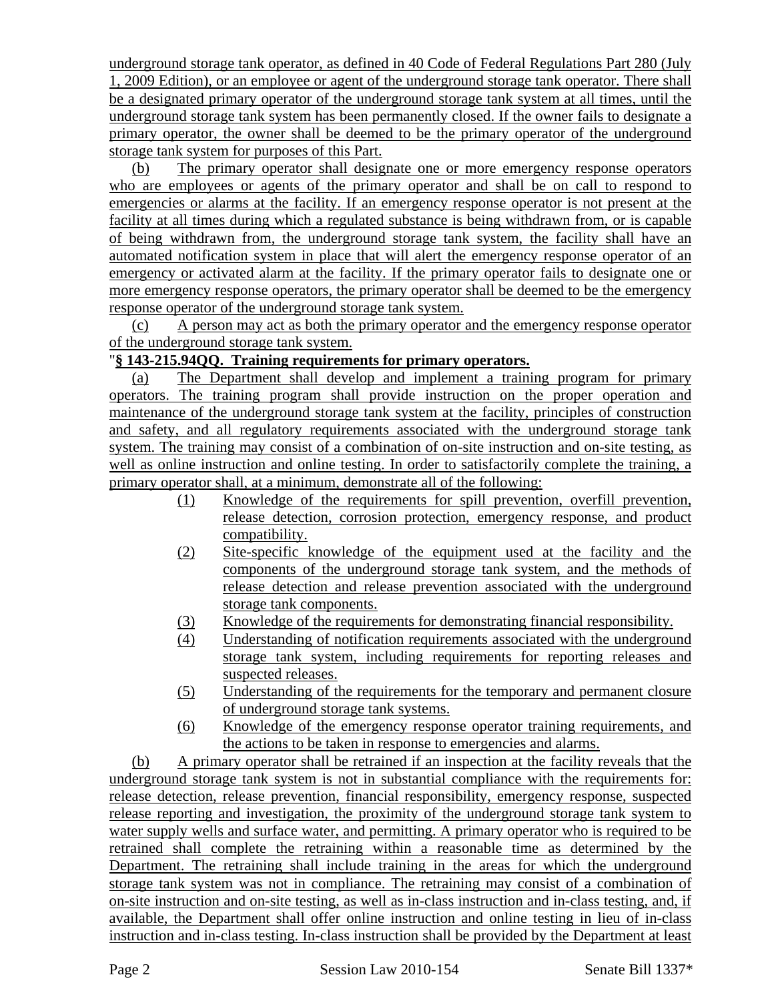underground storage tank operator, as defined in 40 Code of Federal Regulations Part 280 (July 1, 2009 Edition), or an employee or agent of the underground storage tank operator. There shall be a designated primary operator of the underground storage tank system at all times, until the underground storage tank system has been permanently closed. If the owner fails to designate a primary operator, the owner shall be deemed to be the primary operator of the underground storage tank system for purposes of this Part.

(b) The primary operator shall designate one or more emergency response operators who are employees or agents of the primary operator and shall be on call to respond to emergencies or alarms at the facility. If an emergency response operator is not present at the facility at all times during which a regulated substance is being withdrawn from, or is capable of being withdrawn from, the underground storage tank system, the facility shall have an automated notification system in place that will alert the emergency response operator of an emergency or activated alarm at the facility. If the primary operator fails to designate one or more emergency response operators, the primary operator shall be deemed to be the emergency response operator of the underground storage tank system.

(c) A person may act as both the primary operator and the emergency response operator of the underground storage tank system.

### "**§ 143-215.94QQ. Training requirements for primary operators.**

(a) The Department shall develop and implement a training program for primary operators. The training program shall provide instruction on the proper operation and maintenance of the underground storage tank system at the facility, principles of construction and safety, and all regulatory requirements associated with the underground storage tank system. The training may consist of a combination of on-site instruction and on-site testing, as well as online instruction and online testing. In order to satisfactorily complete the training, a primary operator shall, at a minimum, demonstrate all of the following:

- (1) Knowledge of the requirements for spill prevention, overfill prevention, release detection, corrosion protection, emergency response, and product compatibility.
- (2) Site-specific knowledge of the equipment used at the facility and the components of the underground storage tank system, and the methods of release detection and release prevention associated with the underground storage tank components.
- (3) Knowledge of the requirements for demonstrating financial responsibility.
- (4) Understanding of notification requirements associated with the underground storage tank system, including requirements for reporting releases and suspected releases.
- (5) Understanding of the requirements for the temporary and permanent closure of underground storage tank systems.
- (6) Knowledge of the emergency response operator training requirements, and the actions to be taken in response to emergencies and alarms.

(b) A primary operator shall be retrained if an inspection at the facility reveals that the underground storage tank system is not in substantial compliance with the requirements for: release detection, release prevention, financial responsibility, emergency response, suspected release reporting and investigation, the proximity of the underground storage tank system to water supply wells and surface water, and permitting. A primary operator who is required to be retrained shall complete the retraining within a reasonable time as determined by the Department. The retraining shall include training in the areas for which the underground storage tank system was not in compliance. The retraining may consist of a combination of on-site instruction and on-site testing, as well as in-class instruction and in-class testing, and, if available, the Department shall offer online instruction and online testing in lieu of in-class instruction and in-class testing. In-class instruction shall be provided by the Department at least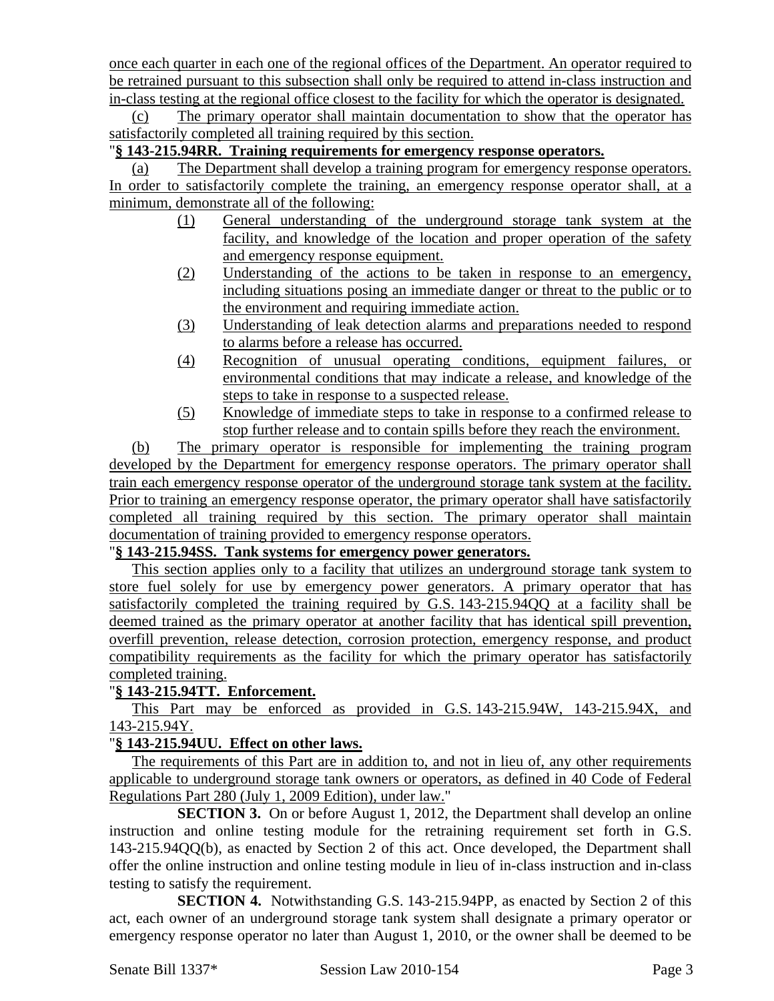once each quarter in each one of the regional offices of the Department. An operator required to be retrained pursuant to this subsection shall only be required to attend in-class instruction and in-class testing at the regional office closest to the facility for which the operator is designated.

(c) The primary operator shall maintain documentation to show that the operator has satisfactorily completed all training required by this section.

# "**§ 143-215.94RR. Training requirements for emergency response operators.**

(a) The Department shall develop a training program for emergency response operators. In order to satisfactorily complete the training, an emergency response operator shall, at a minimum, demonstrate all of the following:

- (1) General understanding of the underground storage tank system at the facility, and knowledge of the location and proper operation of the safety and emergency response equipment.
- (2) Understanding of the actions to be taken in response to an emergency, including situations posing an immediate danger or threat to the public or to the environment and requiring immediate action.
- (3) Understanding of leak detection alarms and preparations needed to respond to alarms before a release has occurred.
- (4) Recognition of unusual operating conditions, equipment failures, or environmental conditions that may indicate a release, and knowledge of the steps to take in response to a suspected release.
- (5) Knowledge of immediate steps to take in response to a confirmed release to stop further release and to contain spills before they reach the environment.

(b) The primary operator is responsible for implementing the training program developed by the Department for emergency response operators. The primary operator shall train each emergency response operator of the underground storage tank system at the facility. Prior to training an emergency response operator, the primary operator shall have satisfactorily completed all training required by this section. The primary operator shall maintain documentation of training provided to emergency response operators.

#### "**§ 143-215.94SS. Tank systems for emergency power generators.**

This section applies only to a facility that utilizes an underground storage tank system to store fuel solely for use by emergency power generators. A primary operator that has satisfactorily completed the training required by G.S. 143-215.94QQ at a facility shall be deemed trained as the primary operator at another facility that has identical spill prevention, overfill prevention, release detection, corrosion protection, emergency response, and product compatibility requirements as the facility for which the primary operator has satisfactorily completed training.

# "**§ 143-215.94TT. Enforcement.**

This Part may be enforced as provided in G.S. 143-215.94W, 143-215.94X, and 143-215.94Y.

# "**§ 143-215.94UU. Effect on other laws.**

The requirements of this Part are in addition to, and not in lieu of, any other requirements applicable to underground storage tank owners or operators, as defined in 40 Code of Federal Regulations Part 280 (July 1, 2009 Edition), under law."

**SECTION 3.** On or before August 1, 2012, the Department shall develop an online instruction and online testing module for the retraining requirement set forth in G.S. 143-215.94QQ(b), as enacted by Section 2 of this act. Once developed, the Department shall offer the online instruction and online testing module in lieu of in-class instruction and in-class testing to satisfy the requirement.

**SECTION 4.** Notwithstanding G.S. 143-215.94PP, as enacted by Section 2 of this act, each owner of an underground storage tank system shall designate a primary operator or emergency response operator no later than August 1, 2010, or the owner shall be deemed to be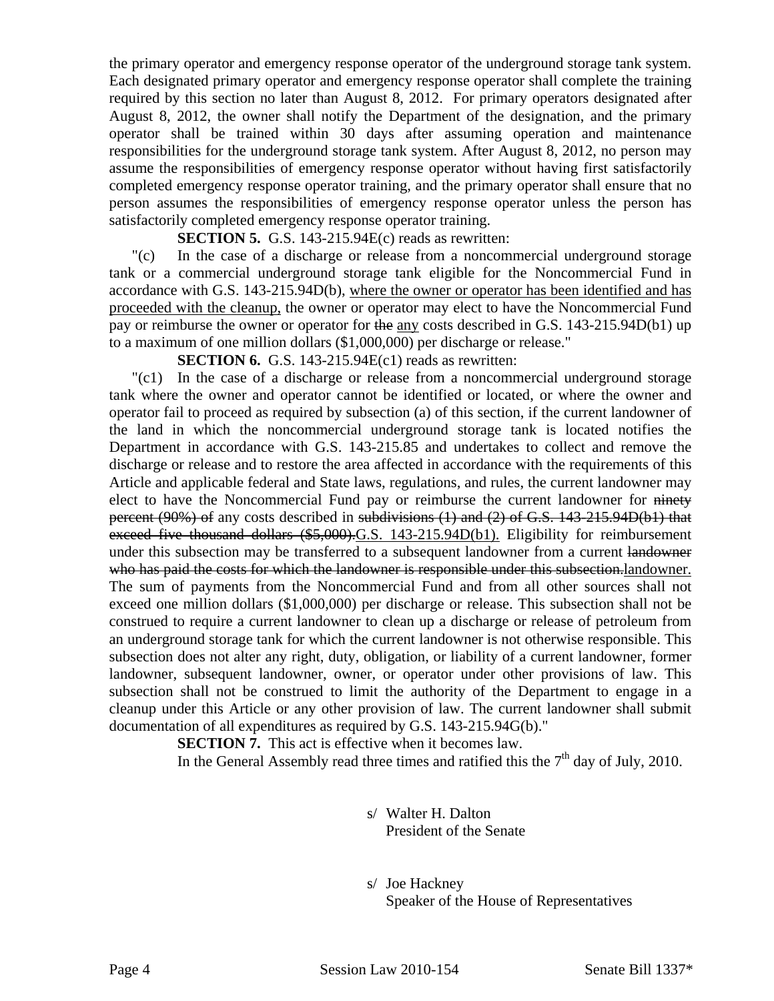the primary operator and emergency response operator of the underground storage tank system. Each designated primary operator and emergency response operator shall complete the training required by this section no later than August 8, 2012. For primary operators designated after August 8, 2012, the owner shall notify the Department of the designation, and the primary operator shall be trained within 30 days after assuming operation and maintenance responsibilities for the underground storage tank system. After August 8, 2012, no person may assume the responsibilities of emergency response operator without having first satisfactorily completed emergency response operator training, and the primary operator shall ensure that no person assumes the responsibilities of emergency response operator unless the person has satisfactorily completed emergency response operator training.

**SECTION 5.** G.S. 143-215.94E(c) reads as rewritten:

"(c) In the case of a discharge or release from a noncommercial underground storage tank or a commercial underground storage tank eligible for the Noncommercial Fund in accordance with G.S. 143-215.94D(b), where the owner or operator has been identified and has proceeded with the cleanup, the owner or operator may elect to have the Noncommercial Fund pay or reimburse the owner or operator for the any costs described in G.S. 143-215.94D(b1) up to a maximum of one million dollars (\$1,000,000) per discharge or release."

**SECTION 6.** G.S. 143-215.94E(c1) reads as rewritten:

"(c1) In the case of a discharge or release from a noncommercial underground storage tank where the owner and operator cannot be identified or located, or where the owner and operator fail to proceed as required by subsection (a) of this section, if the current landowner of the land in which the noncommercial underground storage tank is located notifies the Department in accordance with G.S. 143-215.85 and undertakes to collect and remove the discharge or release and to restore the area affected in accordance with the requirements of this Article and applicable federal and State laws, regulations, and rules, the current landowner may elect to have the Noncommercial Fund pay or reimburse the current landowner for ninety percent (90%) of any costs described in subdivisions (1) and (2) of G.S. 143-215.94D(b1) that exceed five thousand dollars (\$5,000). G.S. 143-215.94D(b1). Eligibility for reimbursement under this subsection may be transferred to a subsequent landowner from a current landowner who has paid the costs for which the landowner is responsible under this subsection.landowner. The sum of payments from the Noncommercial Fund and from all other sources shall not exceed one million dollars (\$1,000,000) per discharge or release. This subsection shall not be construed to require a current landowner to clean up a discharge or release of petroleum from an underground storage tank for which the current landowner is not otherwise responsible. This subsection does not alter any right, duty, obligation, or liability of a current landowner, former landowner, subsequent landowner, owner, or operator under other provisions of law. This subsection shall not be construed to limit the authority of the Department to engage in a cleanup under this Article or any other provision of law. The current landowner shall submit documentation of all expenditures as required by G.S. 143-215.94G(b)."

**SECTION 7.** This act is effective when it becomes law.

In the General Assembly read three times and ratified this the  $7<sup>th</sup>$  day of July, 2010.

 s/ Walter H. Dalton President of the Senate

 s/ Joe Hackney Speaker of the House of Representatives